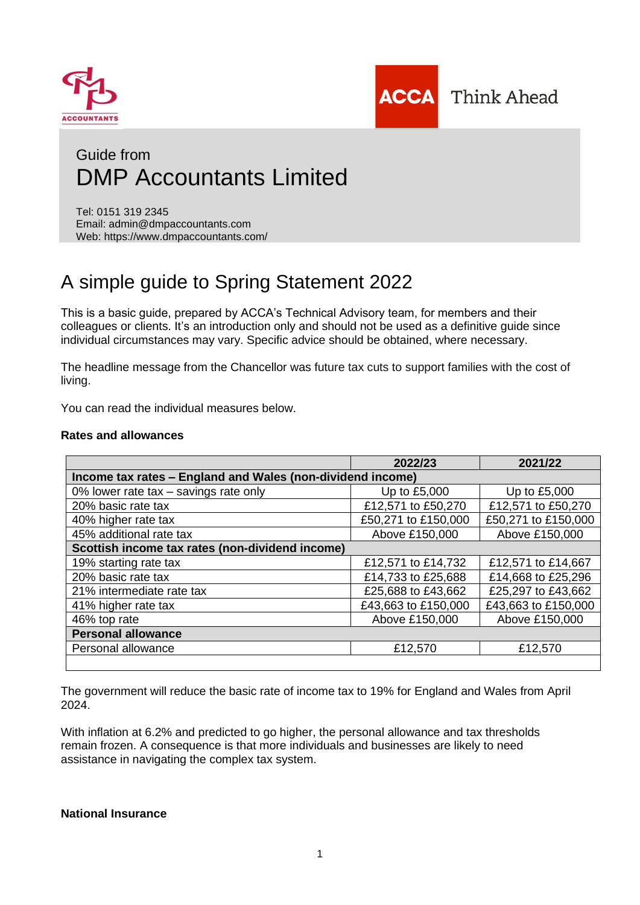

l



# Guide from DMP Accountants Limited

Tel: 0151 319 2345 Email: admin@dmpaccountants.com Web: https://www.dmpaccountants.com/

# A simple guide to Spring Statement 2022

This is a basic guide, prepared by ACCA's Technical Advisory team, for members and their colleagues or clients. It's an introduction only and should not be used as a definitive guide since individual circumstances may vary. Specific advice should be obtained, where necessary.

The headline message from the Chancellor was future tax cuts to support families with the cost of living.

You can read the individual measures below.

## **Rates and allowances**

|                                                            | 2022/23             | 2021/22             |  |
|------------------------------------------------------------|---------------------|---------------------|--|
| Income tax rates - England and Wales (non-dividend income) |                     |                     |  |
| 0% lower rate tax - savings rate only                      | Up to £5,000        | Up to £5,000        |  |
| 20% basic rate tax                                         | £12,571 to £50,270  | £12,571 to £50,270  |  |
| 40% higher rate tax                                        | £50,271 to £150,000 | £50,271 to £150,000 |  |
| 45% additional rate tax                                    | Above £150,000      | Above £150,000      |  |
| Scottish income tax rates (non-dividend income)            |                     |                     |  |
| 19% starting rate tax                                      | £12,571 to £14,732  | £12,571 to £14,667  |  |
| 20% basic rate tax                                         | £14,733 to £25,688  | £14,668 to £25,296  |  |
| 21% intermediate rate tax                                  | £25,688 to £43,662  | £25,297 to £43,662  |  |
| 41% higher rate tax                                        | £43,663 to £150,000 | £43,663 to £150,000 |  |
| 46% top rate                                               | Above £150,000      | Above £150,000      |  |
| <b>Personal allowance</b>                                  |                     |                     |  |
| Personal allowance                                         | £12,570             | £12,570             |  |
|                                                            |                     |                     |  |

The government will reduce the basic rate of income tax to 19% for England and Wales from April 2024.

With inflation at 6.2% and predicted to go higher, the personal allowance and tax thresholds remain frozen. A consequence is that more individuals and businesses are likely to need assistance in navigating the complex tax system.

## **National Insurance**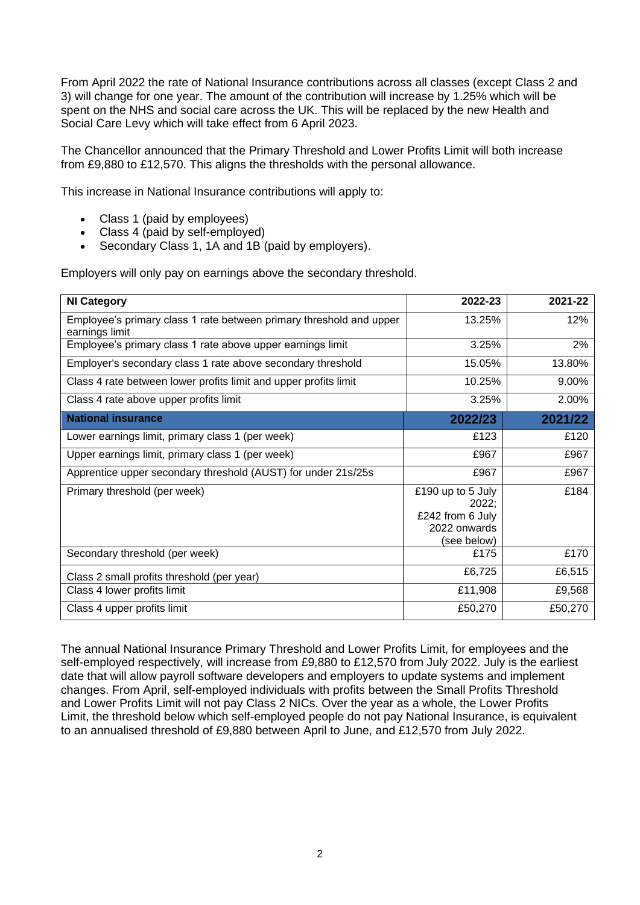From April 2022 the rate of National Insurance contributions across all classes (except Class 2 and 3) will change for one year. The amount of the contribution will increase by 1.25% which will be spent on the NHS and social care across the UK. This will be replaced by the new Health and Social Care Levy which will take effect from 6 April 2023.

The Chancellor announced that the Primary Threshold and Lower Profits Limit will both increase from £9,880 to £12,570. This aligns the thresholds with the personal allowance.

This increase in National Insurance contributions will apply to:

- Class 1 (paid by employees)
- Class 4 (paid by self-employed)
- Secondary Class 1, 1A and 1B (paid by employers).

Employers will only pay on earnings above the secondary threshold.

| <b>NI Category</b>                                                                    | 2022-23                                                                       | 2021-22 |
|---------------------------------------------------------------------------------------|-------------------------------------------------------------------------------|---------|
| Employee's primary class 1 rate between primary threshold and upper<br>earnings limit | 13.25%                                                                        | 12%     |
| Employee's primary class 1 rate above upper earnings limit                            | 3.25%                                                                         | 2%      |
| Employer's secondary class 1 rate above secondary threshold                           | 15.05%                                                                        | 13.80%  |
| Class 4 rate between lower profits limit and upper profits limit                      | 10.25%                                                                        | 9.00%   |
| Class 4 rate above upper profits limit                                                | 3.25%                                                                         | 2.00%   |
| <b>National insurance</b>                                                             | 2022/23                                                                       | 2021/22 |
| Lower earnings limit, primary class 1 (per week)                                      | £123                                                                          | £120    |
| Upper earnings limit, primary class 1 (per week)                                      | £967                                                                          | £967    |
| Apprentice upper secondary threshold (AUST) for under 21s/25s                         | £967                                                                          | £967    |
| Primary threshold (per week)                                                          | £190 up to 5 July<br>2022;<br>£242 from 6 July<br>2022 onwards<br>(see below) | £184    |
| Secondary threshold (per week)                                                        | £175                                                                          | £170    |
| Class 2 small profits threshold (per year)                                            | £6,725                                                                        | £6,515  |
| Class 4 lower profits limit                                                           | £11,908                                                                       | £9,568  |
| Class 4 upper profits limit                                                           | £50,270                                                                       | £50,270 |

The annual National Insurance Primary Threshold and Lower Profits Limit, for employees and the self-employed respectively, will increase from £9,880 to £12,570 from July 2022. July is the earliest date that will allow payroll software developers and employers to update systems and implement changes. From April, self-employed individuals with profits between the Small Profits Threshold and Lower Profits Limit will not pay Class 2 NICs. Over the year as a whole, the Lower Profits Limit, the threshold below which self-employed people do not pay National Insurance, is equivalent to an annualised threshold of £9,880 between April to June, and £12,570 from July 2022.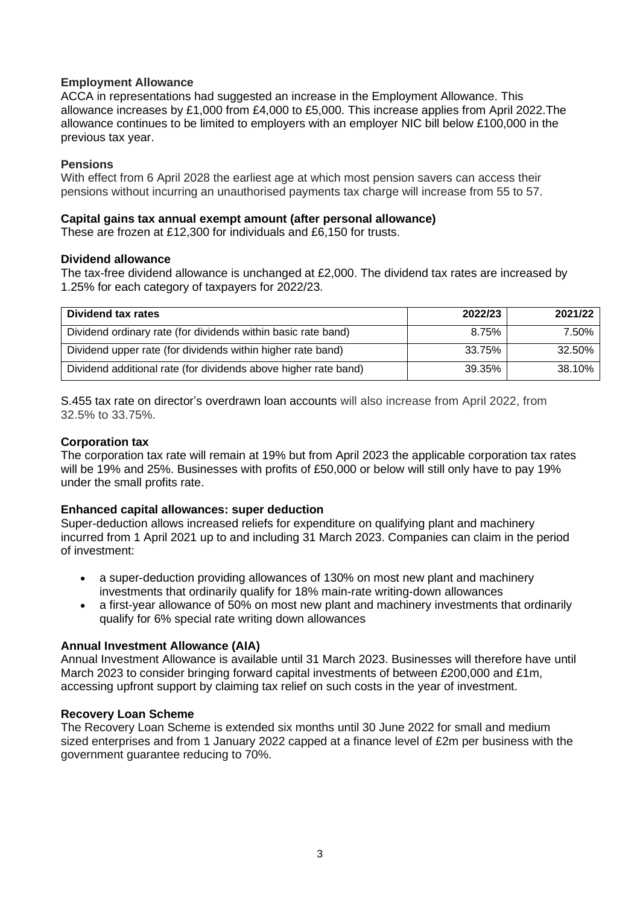# **Employment Allowance**

ACCA in representations had suggested an increase in the Employment Allowance. This allowance increases by £1,000 from £4,000 to £5,000. This increase applies from April 2022.The allowance continues to be limited to employers with an employer NIC bill below £100,000 in the previous tax year.

# **Pensions**

With effect from 6 April 2028 the earliest age at which most pension savers can access their pensions without incurring an unauthorised payments tax charge will increase from 55 to 57.

# **Capital gains tax annual exempt amount (after personal allowance)**

These are frozen at £12,300 for individuals and £6,150 for trusts.

## **Dividend allowance**

The tax-free dividend allowance is unchanged at £2,000. The dividend tax rates are increased by 1.25% for each category of taxpayers for 2022/23.

| Dividend tax rates                                              | 2022/23 | 2021/22 |
|-----------------------------------------------------------------|---------|---------|
| Dividend ordinary rate (for dividends within basic rate band)   | 8.75%   | 7.50%   |
| Dividend upper rate (for dividends within higher rate band)     | 33.75%  | 32.50%  |
| Dividend additional rate (for dividends above higher rate band) | 39.35%  | 38.10%  |

S.455 tax rate on director's overdrawn loan accounts will also increase from April 2022, from 32.5% to 33.75%.

# **Corporation tax**

The corporation tax rate will remain at 19% but from April 2023 the applicable corporation tax rates will be 19% and 25%. Businesses with profits of £50,000 or below will still only have to pay 19% under the small profits rate.

# **Enhanced capital allowances: super deduction**

Super-deduction allows increased reliefs for expenditure on qualifying plant and machinery incurred from 1 April 2021 up to and including 31 March 2023. Companies can claim in the period of investment:

- a super-deduction providing allowances of 130% on most new plant and machinery investments that ordinarily qualify for 18% main-rate writing-down allowances
- a first-year allowance of 50% on most new plant and machinery investments that ordinarily qualify for 6% special rate writing down allowances

# **Annual Investment Allowance (AIA)**

Annual Investment Allowance is available until 31 March 2023. Businesses will therefore have until March 2023 to consider bringing forward capital investments of between £200,000 and £1m, accessing upfront support by claiming tax relief on such costs in the year of investment.

# **Recovery Loan Scheme**

The Recovery Loan Scheme is extended six months until 30 June 2022 for small and medium sized enterprises and from 1 January 2022 capped at a finance level of £2m per business with the government guarantee reducing to 70%.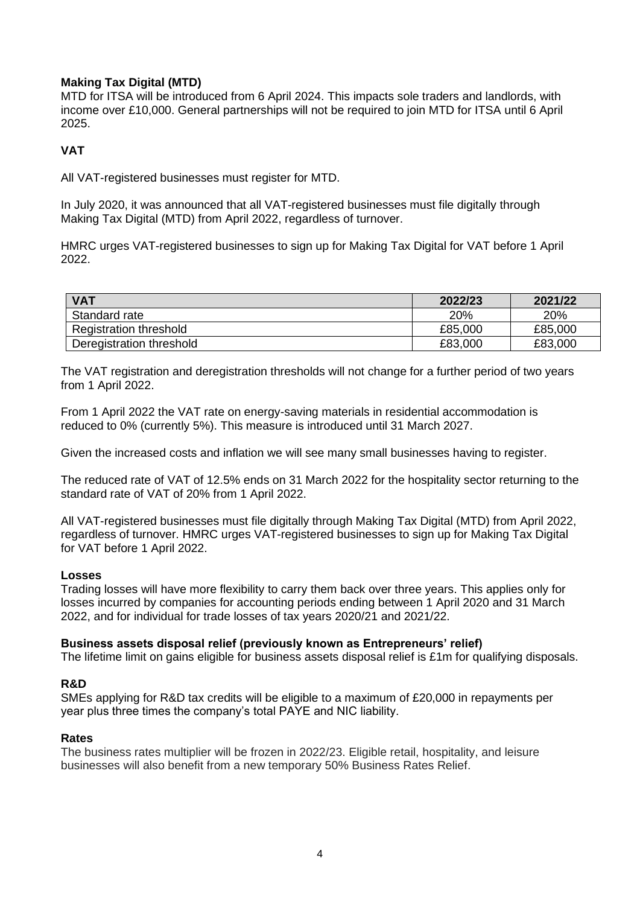# **Making Tax Digital (MTD)**

MTD for ITSA will be introduced from 6 April 2024. This impacts sole traders and landlords, with income over £10,000. General partnerships will not be required to join MTD for ITSA until 6 April 2025.

# **VAT**

All VAT-registered businesses must register for MTD.

In July 2020, it was announced that all VAT-registered businesses must file digitally through Making Tax Digital (MTD) from April 2022, regardless of turnover.

HMRC urges VAT-registered businesses to sign up for Making Tax Digital for VAT before 1 April 2022.

| <b>VAT</b>               | 2022/23 | 2021/22 |
|--------------------------|---------|---------|
| Standard rate            | 20%     | 20%     |
| Registration threshold   | £85,000 | £85,000 |
| Deregistration threshold | £83,000 | £83,000 |

The VAT registration and deregistration thresholds will not change for a further period of two years from 1 April 2022.

From 1 April 2022 the VAT rate on energy-saving materials in residential accommodation is reduced to 0% (currently 5%). This measure is introduced until 31 March 2027.

Given the increased costs and inflation we will see many small businesses having to register.

The reduced rate of VAT of 12.5% ends on 31 March 2022 for the hospitality sector returning to the standard rate of VAT of 20% from 1 April 2022.

All VAT-registered businesses must file digitally through Making Tax Digital (MTD) from April 2022, regardless of turnover. HMRC urges VAT-registered businesses to sign up for Making Tax Digital for VAT before 1 April 2022.

# **Losses**

Trading losses will have more flexibility to carry them back over three years. This applies only for losses incurred by companies for accounting periods ending between 1 April 2020 and 31 March 2022, and for individual for trade losses of tax years 2020/21 and 2021/22.

### **Business assets disposal relief (previously known as Entrepreneurs' relief)**

The lifetime limit on gains eligible for business assets disposal relief is £1m for qualifying disposals.

# **R&D**

SMEs applying for R&D tax credits will be eligible to a maximum of £20,000 in repayments per year plus three times the company's total PAYE and NIC liability.

# **Rates**

The business rates multiplier will be frozen in 2022/23. Eligible retail, hospitality, and leisure businesses will also benefit from a new temporary 50% Business Rates Relief.